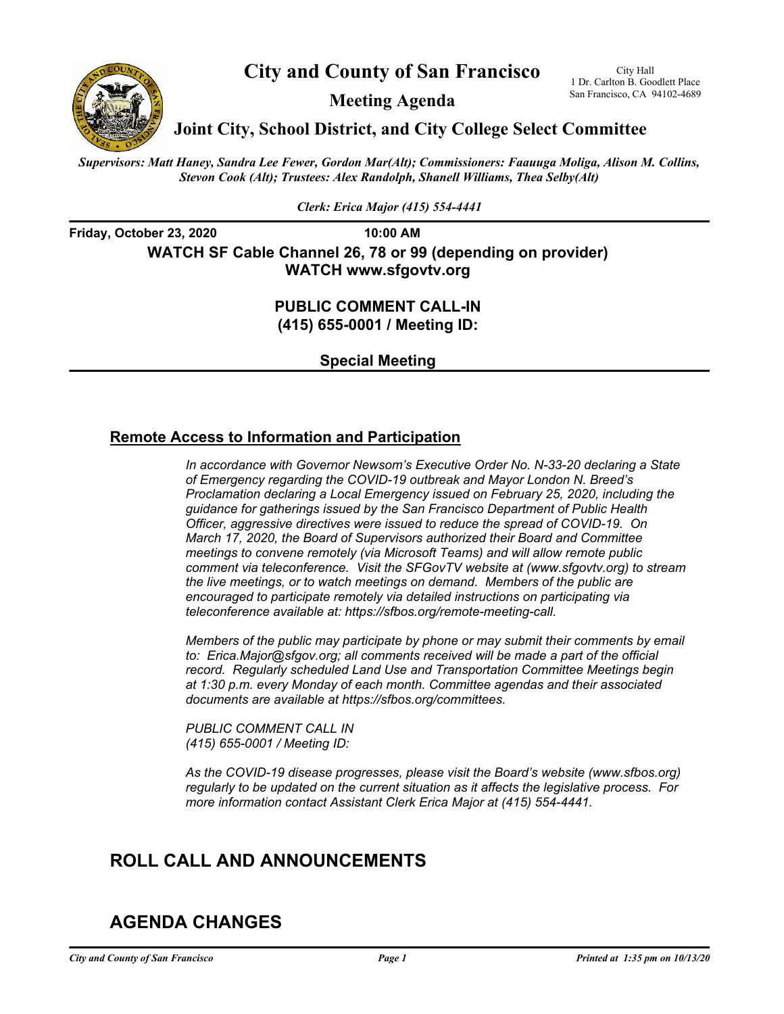

**City and County of San Francisco** 

San Francisco, CA 94102-4689 **Meeting Agenda** 

1 Dr. Carlton B. Goodlett Place

**Joint City, School District, and City College Select Committee** 

*Supervisors: Matt Haney, Sandra Lee Fewer, Gordon Mar(Alt); Commissioners: Faauuga Moliga, Alison M. Collins, Stevon Cook (Alt); Trustees: Alex Randolph, Shanell Williams, Thea Selby(Alt)*

*Clerk: Erica Major (415) 554-4441*

**Friday, October 23, 2020** 10:00 AM **WATCH SF Cable Channel 26, 78 or 99 (depending on provider) WATCH www.sfgovtv.org** 

### **PUBLIC COMMENT CALL-IN (415) 655-0001 / Meeting ID:**

**Special Meeting** 

### **Remote Access to Information and Participation**

*In accordance with Governor Newsom's Executive Order No. N-33-20 declaring a State of Emergency regarding the COVID-19 outbreak and Mayor London N. Breed's Proclamation declaring a Local Emergency issued on February 25, 2020, including the guidance for gatherings issued by the San Francisco Department of Public Health Officer, aggressive directives were issued to reduce the spread of COVID-19. On March 17, 2020, the Board of Supervisors authorized their Board and Committee meetings to convene remotely (via Microsoft Teams) and will allow remote public comment via teleconference. Visit the SFGovTV website at (www.sfgovtv.org) to stream the live meetings, or to watch meetings on demand. Members of the public are encouraged to participate remotely via detailed instructions on participating via teleconference available at: https://sfbos.org/remote-meeting-call.* 

*Members of the public may participate by phone or may submit their comments by email to: Erica.Major@sfgov.org; all comments received will be made a part of the official record. Regularly scheduled Land Use and Transportation Committee Meetings begin at 1:30 p.m. every Monday of each month. Committee agendas and their associated documents are available at https://sfbos.org/committees.* 

*PUBLIC COMMENT CALL IN (415) 655-0001 / Meeting ID:* 

*As the COVID-19 disease progresses, please visit the Board's website (www.sfbos.org) regularly to be updated on the current situation as it affects the legislative process. For more information contact Assistant Clerk Erica Major at (415) 554-4441.* 

# **ROLL CALL AND ANNOUNCEMENTS**

# **AGENDA CHANGES**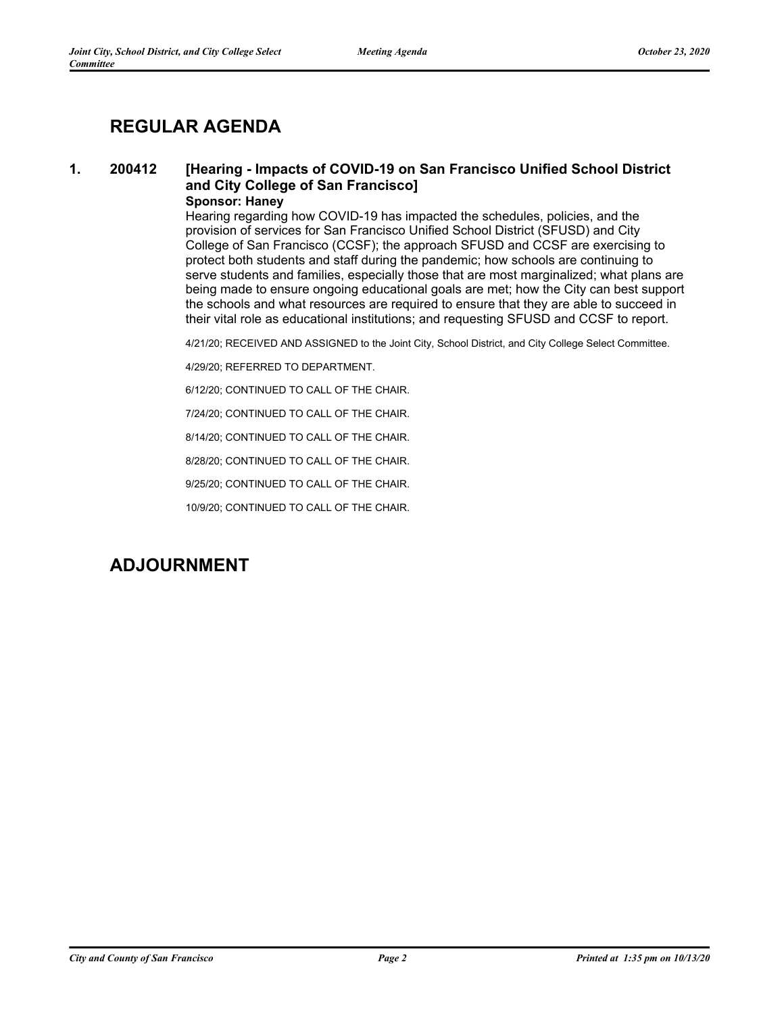## **REGULAR AGENDA**

### **1. 200412 [Hearing - Impacts of COVID-19 on San Francisco Unified School District and City College of San Francisco] Sponsor: Haney**

Hearing regarding how COVID-19 has impacted the schedules, policies, and the provision of services for San Francisco Unified School District (SFUSD) and City College of San Francisco (CCSF); the approach SFUSD and CCSF are exercising to protect both students and staff during the pandemic; how schools are continuing to serve students and families, especially those that are most marginalized; what plans are being made to ensure ongoing educational goals are met; how the City can best support the schools and what resources are required to ensure that they are able to succeed in their vital role as educational institutions; and requesting SFUSD and CCSF to report.

4/21/20; RECEIVED AND ASSIGNED to the Joint City, School District, and City College Select Committee.

4/29/20; REFERRED TO DEPARTMENT.

6/12/20; CONTINUED TO CALL OF THE CHAIR.

7/24/20; CONTINUED TO CALL OF THE CHAIR.

8/14/20; CONTINUED TO CALL OF THE CHAIR.

8/28/20; CONTINUED TO CALL OF THE CHAIR.

9/25/20; CONTINUED TO CALL OF THE CHAIR.

10/9/20; CONTINUED TO CALL OF THE CHAIR.

## **ADJOURNMENT**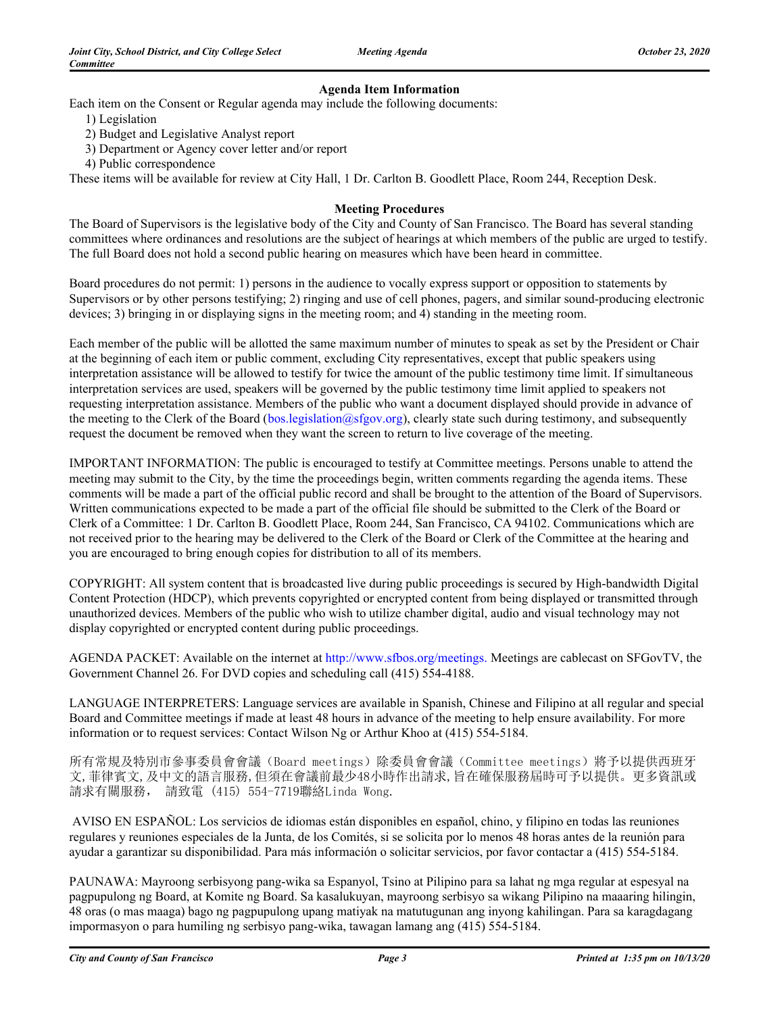### **Agenda Item Information**

Each item on the Consent or Regular agenda may include the following documents:

- 1) Legislation
- 2) Budget and Legislative Analyst report
- 3) Department or Agency cover letter and/or report
- 4) Public correspondence

These items will be available for review at City Hall, 1 Dr. Carlton B. Goodlett Place, Room 244, Reception Desk.

### **Meeting Procedures**

The Board of Supervisors is the legislative body of the City and County of San Francisco. The Board has several standing committees where ordinances and resolutions are the subject of hearings at which members of the public are urged to testify. The full Board does not hold a second public hearing on measures which have been heard in committee.

Board procedures do not permit: 1) persons in the audience to vocally express support or opposition to statements by Supervisors or by other persons testifying; 2) ringing and use of cell phones, pagers, and similar sound-producing electronic devices; 3) bringing in or displaying signs in the meeting room; and 4) standing in the meeting room.

Each member of the public will be allotted the same maximum number of minutes to speak as set by the President or Chair at the beginning of each item or public comment, excluding City representatives, except that public speakers using interpretation assistance will be allowed to testify for twice the amount of the public testimony time limit. If simultaneous interpretation services are used, speakers will be governed by the public testimony time limit applied to speakers not requesting interpretation assistance. Members of the public who want a document displayed should provide in advance of the meeting to the Clerk of the Board (bos.legislation@sfgov.org), clearly state such during testimony, and subsequently request the document be removed when they want the screen to return to live coverage of the meeting.

IMPORTANT INFORMATION: The public is encouraged to testify at Committee meetings. Persons unable to attend the meeting may submit to the City, by the time the proceedings begin, written comments regarding the agenda items. These comments will be made a part of the official public record and shall be brought to the attention of the Board of Supervisors. Written communications expected to be made a part of the official file should be submitted to the Clerk of the Board or Clerk of a Committee: 1 Dr. Carlton B. Goodlett Place, Room 244, San Francisco, CA 94102. Communications which are not received prior to the hearing may be delivered to the Clerk of the Board or Clerk of the Committee at the hearing and you are encouraged to bring enough copies for distribution to all of its members.

COPYRIGHT: All system content that is broadcasted live during public proceedings is secured by High-bandwidth Digital Content Protection (HDCP), which prevents copyrighted or encrypted content from being displayed or transmitted through unauthorized devices. Members of the public who wish to utilize chamber digital, audio and visual technology may not display copyrighted or encrypted content during public proceedings.

AGENDA PACKET: Available on the internet at http://www.sfbos.org/meetings. Meetings are cablecast on SFGovTV, the Government Channel 26. For DVD copies and scheduling call (415) 554-4188.

LANGUAGE INTERPRETERS: Language services are available in Spanish, Chinese and Filipino at all regular and special Board and Committee meetings if made at least 48 hours in advance of the meeting to help ensure availability. For more information or to request services: Contact Wilson Ng or Arthur Khoo at (415) 554-5184.

所有常規及特別市參事委員會會議(Board meetings)除委員會會議(Committee meetings)將予以提供西班牙 文,菲律賓文,及中文的語言服務,但須在會議前最少48小時作出請求,旨在確保服務屆時可予以提供。更多資訊或 請求有關服務, 請致電 (415) 554-7719聯絡Linda Wong.

 AVISO EN ESPAÑOL: Los servicios de idiomas están disponibles en español, chino, y filipino en todas las reuniones regulares y reuniones especiales de la Junta, de los Comités, si se solicita por lo menos 48 horas antes de la reunión para ayudar a garantizar su disponibilidad. Para más información o solicitar servicios, por favor contactar a (415) 554-5184.

PAUNAWA: Mayroong serbisyong pang-wika sa Espanyol, Tsino at Pilipino para sa lahat ng mga regular at espesyal na pagpupulong ng Board, at Komite ng Board. Sa kasalukuyan, mayroong serbisyo sa wikang Pilipino na maaaring hilingin, 48 oras (o mas maaga) bago ng pagpupulong upang matiyak na matutugunan ang inyong kahilingan. Para sa karagdagang impormasyon o para humiling ng serbisyo pang-wika, tawagan lamang ang (415) 554-5184.